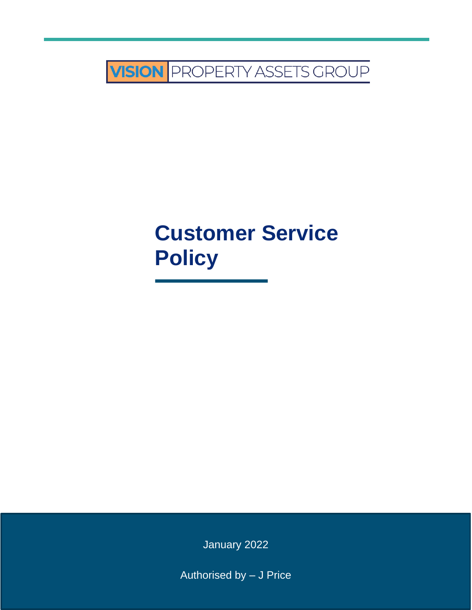

# **Customer Service Policy**

January 2022

Authorised by – J Price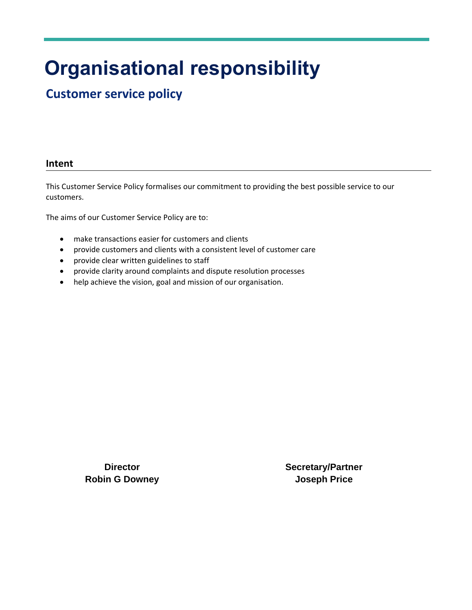## **Organisational responsibility**

## **Customer service policy**

#### **Intent**

This Customer Service Policy formalises our commitment to providing the best possible service to our customers.

The aims of our Customer Service Policy are to:

- make transactions easier for customers and clients
- provide customers and clients with a consistent level of customer care
- provide clear written guidelines to staff
- provide clarity around complaints and dispute resolution processes
- help achieve the vision, goal and mission of our organisation.

**Director Robin G Downey** **Secretary/Partner Joseph Price**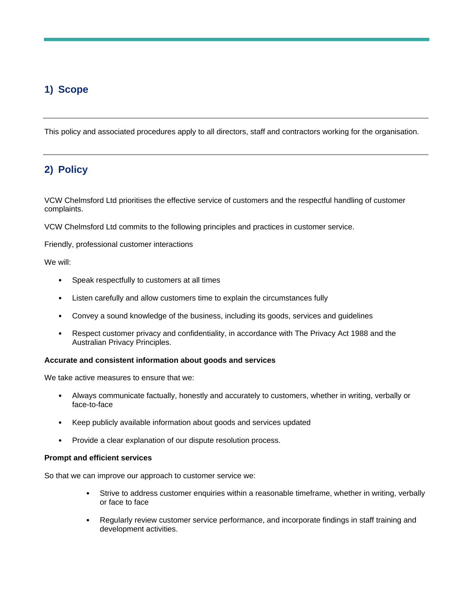## **1) Scope**

This policy and associated procedures apply to all directors, staff and contractors working for the organisation.

### **2) Policy**

VCW Chelmsford Ltd prioritises the effective service of customers and the respectful handling of customer complaints.

VCW Chelmsford Ltd commits to the following principles and practices in customer service.

Friendly, professional customer interactions

We will:

- Speak respectfully to customers at all times
- Listen carefully and allow customers time to explain the circumstances fully
- Convey a sound knowledge of the business, including its goods, services and guidelines
- Respect customer privacy and confidentiality, in accordance with The Privacy Act 1988 and the Australian Privacy Principles.

#### **Accurate and consistent information about goods and services**

We take active measures to ensure that we:

- Always communicate factually, honestly and accurately to customers, whether in writing, verbally or face-to-face
- Keep publicly available information about goods and services updated
- Provide a clear explanation of our dispute resolution process.

#### **Prompt and efficient services**

So that we can improve our approach to customer service we:

- Strive to address customer enquiries within a reasonable timeframe, whether in writing, verbally or face to face
- Regularly review customer service performance, and incorporate findings in staff training and development activities.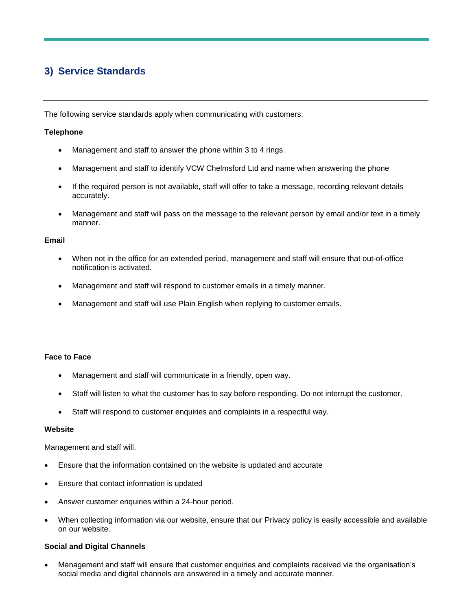## **3) Service Standards**

The following service standards apply when communicating with customers:

#### **Telephone**

- Management and staff to answer the phone within 3 to 4 rings.
- Management and staff to identify VCW Chelmsford Ltd and name when answering the phone
- If the required person is not available, staff will offer to take a message, recording relevant details accurately.
- Management and staff will pass on the message to the relevant person by email and/or text in a timely manner.

#### **Email**

- When not in the office for an extended period, management and staff will ensure that out-of-office notification is activated.
- Management and staff will respond to customer emails in a timely manner.
- Management and staff will use Plain English when replying to customer emails.

#### **Face to Face**

- Management and staff will communicate in a friendly, open way.
- Staff will listen to what the customer has to say before responding. Do not interrupt the customer.
- Staff will respond to customer enquiries and complaints in a respectful way.

#### **Website**

Management and staff will.

- Ensure that the information contained on the website is updated and accurate
- Ensure that contact information is updated
- Answer customer enquiries within a 24-hour period.
- When collecting information via our website, ensure that our Privacy policy is easily accessible and available on our website.

#### **Social and Digital Channels**

• Management and staff will ensure that customer enquiries and complaints received via the organisation's social media and digital channels are answered in a timely and accurate manner.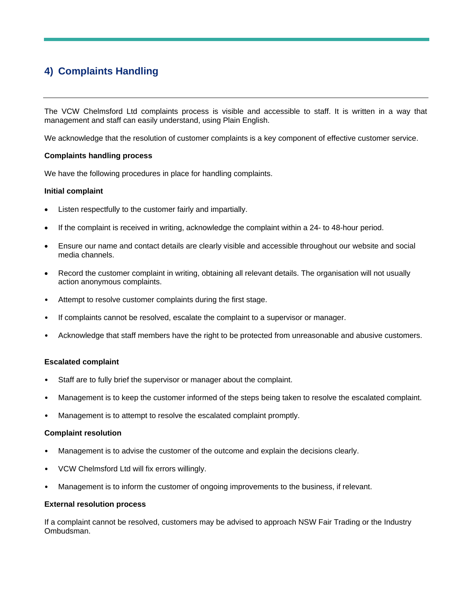## **4) Complaints Handling**

The VCW Chelmsford Ltd complaints process is visible and accessible to staff. It is written in a way that management and staff can easily understand, using Plain English.

We acknowledge that the resolution of customer complaints is a key component of effective customer service.

#### **Complaints handling process**

We have the following procedures in place for handling complaints.

#### **Initial complaint**

- Listen respectfully to the customer fairly and impartially.
- If the complaint is received in writing, acknowledge the complaint within a 24- to 48-hour period.
- Ensure our name and contact details are clearly visible and accessible throughout our website and social media channels.
- Record the customer complaint in writing, obtaining all relevant details. The organisation will not usually action anonymous complaints.
- Attempt to resolve customer complaints during the first stage.
- If complaints cannot be resolved, escalate the complaint to a supervisor or manager.
- Acknowledge that staff members have the right to be protected from unreasonable and abusive customers.

#### **Escalated complaint**

- Staff are to fully brief the supervisor or manager about the complaint.
- Management is to keep the customer informed of the steps being taken to resolve the escalated complaint.
- Management is to attempt to resolve the escalated complaint promptly.

#### **Complaint resolution**

- Management is to advise the customer of the outcome and explain the decisions clearly.
- VCW Chelmsford Ltd will fix errors willingly.
- Management is to inform the customer of ongoing improvements to the business, if relevant.

#### **External resolution process**

If a complaint cannot be resolved, customers may be advised to approach NSW Fair Trading or the Industry Ombudsman.